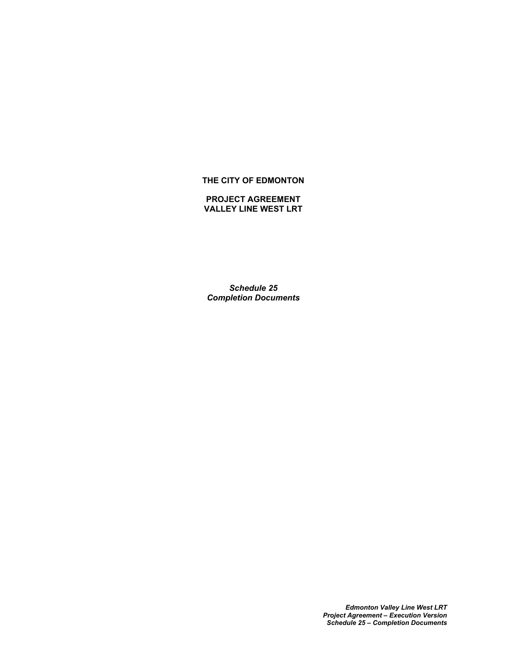# **THE CITY OF EDMONTON**

#### **PROJECT AGREEMENT VALLEY LINE WEST LRT**

*Schedule 25 Completion Documents*

> *Edmonton Valley Line West LRT Project Agreement – Execution Version Schedule 25 – Completion Documents*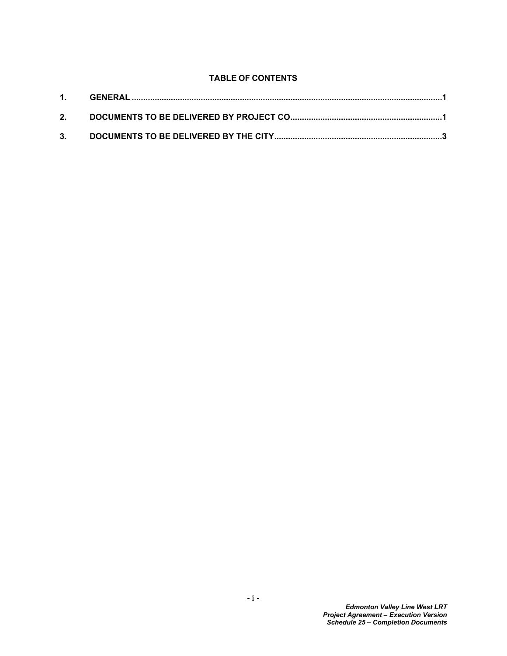# **TABLE OF CONTENTS**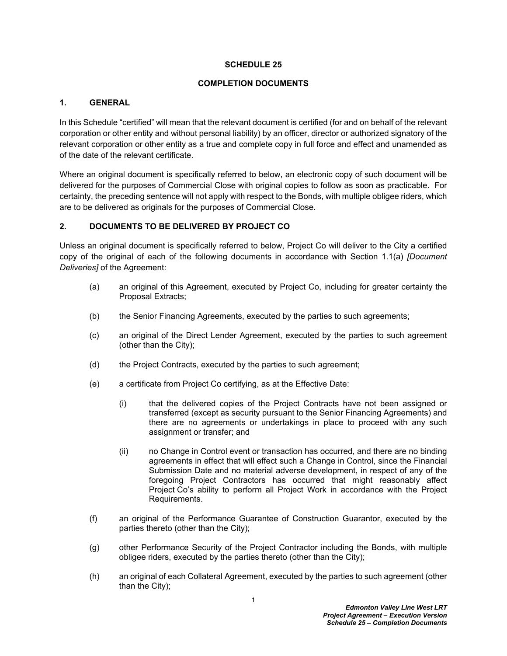#### **SCHEDULE 25**

## **COMPLETION DOCUMENTS**

## <span id="page-2-0"></span>**1. GENERAL**

In this Schedule "certified" will mean that the relevant document is certified (for and on behalf of the relevant corporation or other entity and without personal liability) by an officer, director or authorized signatory of the relevant corporation or other entity as a true and complete copy in full force and effect and unamended as of the date of the relevant certificate.

Where an original document is specifically referred to below, an electronic copy of such document will be delivered for the purposes of Commercial Close with original copies to follow as soon as practicable. For certainty, the preceding sentence will not apply with respect to the Bonds, with multiple obligee riders, which are to be delivered as originals for the purposes of Commercial Close.

## <span id="page-2-1"></span>**2. DOCUMENTS TO BE DELIVERED BY PROJECT CO**

Unless an original document is specifically referred to below, Project Co will deliver to the City a certified copy of the original of each of the following documents in accordance with Section 1.1(a) *[Document Deliveries]* of the Agreement:

- (a) an original of this Agreement, executed by Project Co, including for greater certainty the Proposal Extracts;
- (b) the Senior Financing Agreements, executed by the parties to such agreements;
- (c) an original of the Direct Lender Agreement, executed by the parties to such agreement (other than the City);
- (d) the Project Contracts, executed by the parties to such agreement;
- (e) a certificate from Project Co certifying, as at the Effective Date:
	- (i) that the delivered copies of the Project Contracts have not been assigned or transferred (except as security pursuant to the Senior Financing Agreements) and there are no agreements or undertakings in place to proceed with any such assignment or transfer; and
	- (ii) no Change in Control event or transaction has occurred, and there are no binding agreements in effect that will effect such a Change in Control, since the Financial Submission Date and no material adverse development, in respect of any of the foregoing Project Contractors has occurred that might reasonably affect Project Co's ability to perform all Project Work in accordance with the Project Requirements.
- (f) an original of the Performance Guarantee of Construction Guarantor, executed by the parties thereto (other than the City);
- (g) other Performance Security of the Project Contractor including the Bonds, with multiple obligee riders, executed by the parties thereto (other than the City);
- (h) an original of each Collateral Agreement, executed by the parties to such agreement (other than the City);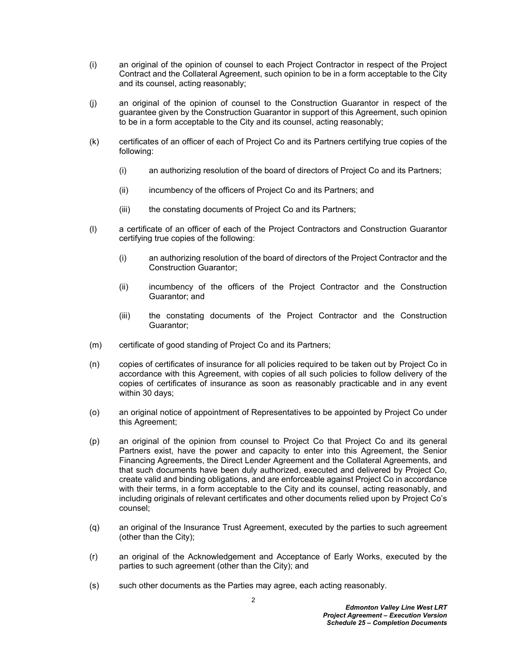- (i) an original of the opinion of counsel to each Project Contractor in respect of the Project Contract and the Collateral Agreement, such opinion to be in a form acceptable to the City and its counsel, acting reasonably;
- (j) an original of the opinion of counsel to the Construction Guarantor in respect of the guarantee given by the Construction Guarantor in support of this Agreement, such opinion to be in a form acceptable to the City and its counsel, acting reasonably;
- (k) certificates of an officer of each of Project Co and its Partners certifying true copies of the following:
	- (i) an authorizing resolution of the board of directors of Project Co and its Partners;
	- (ii) incumbency of the officers of Project Co and its Partners; and
	- (iii) the constating documents of Project Co and its Partners;
- (l) a certificate of an officer of each of the Project Contractors and Construction Guarantor certifying true copies of the following:
	- (i) an authorizing resolution of the board of directors of the Project Contractor and the Construction Guarantor;
	- (ii) incumbency of the officers of the Project Contractor and the Construction Guarantor; and
	- (iii) the constating documents of the Project Contractor and the Construction Guarantor;
- (m) certificate of good standing of Project Co and its Partners;
- (n) copies of certificates of insurance for all policies required to be taken out by Project Co in accordance with this Agreement, with copies of all such policies to follow delivery of the copies of certificates of insurance as soon as reasonably practicable and in any event within 30 days;
- (o) an original notice of appointment of Representatives to be appointed by Project Co under this Agreement;
- (p) an original of the opinion from counsel to Project Co that Project Co and its general Partners exist, have the power and capacity to enter into this Agreement, the Senior Financing Agreements, the Direct Lender Agreement and the Collateral Agreements, and that such documents have been duly authorized, executed and delivered by Project Co, create valid and binding obligations, and are enforceable against Project Co in accordance with their terms, in a form acceptable to the City and its counsel, acting reasonably, and including originals of relevant certificates and other documents relied upon by Project Co's counsel;
- (q) an original of the Insurance Trust Agreement, executed by the parties to such agreement (other than the City);
- (r) an original of the Acknowledgement and Acceptance of Early Works, executed by the parties to such agreement (other than the City); and
- (s) such other documents as the Parties may agree, each acting reasonably.